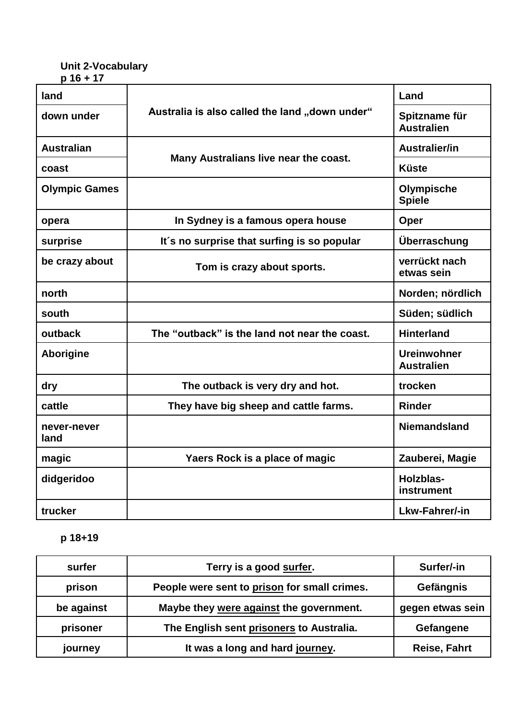## **Unit 2-Vocabulary p 16 + 17**

| land                 |                                                | Land                                    |
|----------------------|------------------------------------------------|-----------------------------------------|
| down under           | Australia is also called the land "down under" | Spitzname für<br><b>Australien</b>      |
| <b>Australian</b>    | Many Australians live near the coast.          | Australier/in                           |
| coast                |                                                | <b>Küste</b>                            |
| <b>Olympic Games</b> |                                                | Olympische<br><b>Spiele</b>             |
| opera                | In Sydney is a famous opera house              | Oper                                    |
| surprise             | It's no surprise that surfing is so popular    | Überraschung                            |
| be crazy about       | Tom is crazy about sports.                     | verrückt nach<br>etwas sein             |
| north                |                                                | Norden; nördlich                        |
| south                |                                                | Süden; südlich                          |
| outback              | The "outback" is the land not near the coast.  | <b>Hinterland</b>                       |
| <b>Aborigine</b>     |                                                | <b>Ureinwohner</b><br><b>Australien</b> |
| dry                  | The outback is very dry and hot.               | trocken                                 |
| cattle               | They have big sheep and cattle farms.          | <b>Rinder</b>                           |
| never-never<br>land  |                                                | <b>Niemandsland</b>                     |
| magic                | Yaers Rock is a place of magic                 | Zauberei, Magie                         |
| didgeridoo           |                                                | Holzblas-<br>instrument                 |
| trucker              |                                                | Lkw-Fahrer/-in                          |

## **p 18+19**

| surfer     | Terry is a good surfer.                      | Surfer/-in          |
|------------|----------------------------------------------|---------------------|
| prison     | People were sent to prison for small crimes. | Gefängnis           |
| be against | Maybe they were against the government.      | gegen etwas sein    |
| prisoner   | The English sent prisoners to Australia.     | Gefangene           |
| journey    | It was a long and hard journey.              | <b>Reise, Fahrt</b> |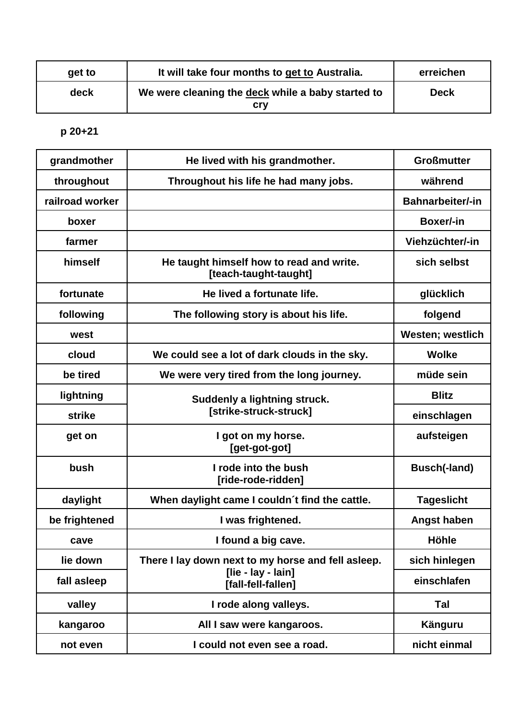| get to | It will take four months to get to Australia.            | erreichen |
|--------|----------------------------------------------------------|-----------|
| deck   | We were cleaning the deck while a baby started to<br>crv | Deck      |

**p 20+21**

| grandmother     | He lived with his grandmother.                                    | <b>Großmutter</b>       |
|-----------------|-------------------------------------------------------------------|-------------------------|
| throughout      | Throughout his life he had many jobs.                             | während                 |
| railroad worker |                                                                   | <b>Bahnarbeiter/-in</b> |
| boxer           |                                                                   | Boxer/-in               |
| farmer          |                                                                   | Viehzüchter/-in         |
| himself         | He taught himself how to read and write.<br>[teach-taught-taught] | sich selbst             |
| fortunate       | He lived a fortunate life.                                        | glücklich               |
| following       | The following story is about his life.                            | folgend                 |
| west            |                                                                   | <b>Westen; westlich</b> |
| cloud           | We could see a lot of dark clouds in the sky.                     | <b>Wolke</b>            |
| be tired        | We were very tired from the long journey.                         | müde sein               |
| lightning       | <b>Suddenly a lightning struck.</b><br>[strike-struck-struck]     | <b>Blitz</b>            |
| strike          |                                                                   | einschlagen             |
| get on          | I got on my horse.<br>[get-got-got]                               | aufsteigen              |
| bush            | I rode into the bush<br>[ride-rode-ridden]                        | Busch(-land)            |
| daylight        | When daylight came I couldn't find the cattle.                    | <b>Tageslicht</b>       |
| be frightened   | I was frightened.                                                 | <b>Angst haben</b>      |
| cave            | I found a big cave.                                               | <b>Höhle</b>            |
| lie down        | There I lay down next to my horse and fell asleep.                | sich hinlegen           |
| fall asleep     | [lie - lay - lain]<br>[fall-fell-fallen]                          | einschlafen             |
| valley          | I rode along valleys.                                             | Tal                     |
| kangaroo        | All I saw were kangaroos.                                         | Känguru                 |
| not even        | I could not even see a road.                                      | nicht einmal            |